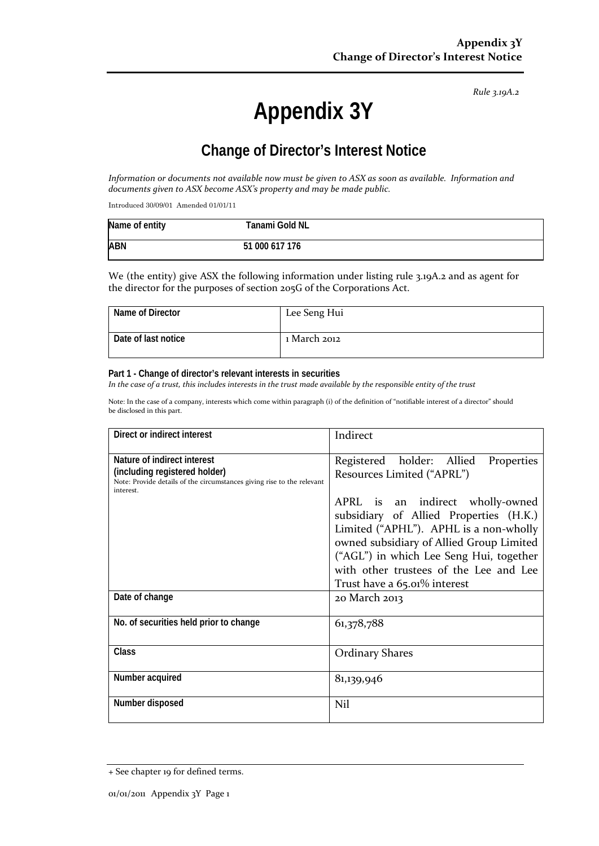*Rule 3.19A.2*

# **Appendix 3Y**

# **Change of Director's Interest Notice**

*Information or documents not available now must be given to ASX as soon as available. Information and documents given to ASX become ASX's property and may be made public.*

Introduced 30/09/01 Amended 01/01/11

| Name of entity | Tanami Gold NL |  |
|----------------|----------------|--|
| <b>ABN</b>     | 51 000 617 176 |  |

We (the entity) give ASX the following information under listing rule 3.19A.2 and as agent for the director for the purposes of section 205G of the Corporations Act.

| Name of Director    | Lee Seng Hui |
|---------------------|--------------|
| Date of last notice | 1 March 2012 |

#### **Part 1 - Change of director's relevant interests in securities**

*In the case of a trust, this includes interests in the trust made available by the responsible entity of the trust*

Note: In the case of a company, interests which come within paragraph (i) of the definition of "notifiable interest of a director" should be disclosed in this part.

| Direct or indirect interest                                                                                                                         | Indirect                                                                                                                                                                                                                                                                              |  |
|-----------------------------------------------------------------------------------------------------------------------------------------------------|---------------------------------------------------------------------------------------------------------------------------------------------------------------------------------------------------------------------------------------------------------------------------------------|--|
| Nature of indirect interest<br>(including registered holder)<br>Note: Provide details of the circumstances giving rise to the relevant<br>interest. | Registered holder: Allied<br>Properties<br>Resources Limited ("APRL")                                                                                                                                                                                                                 |  |
|                                                                                                                                                     | APRL is an indirect wholly-owned<br>subsidiary of Allied Properties (H.K.)<br>Limited ("APHL"). APHL is a non-wholly<br>owned subsidiary of Allied Group Limited<br>("AGL") in which Lee Seng Hui, together<br>with other trustees of the Lee and Lee<br>Trust have a 65.01% interest |  |
| Date of change                                                                                                                                      | 20 March 2013                                                                                                                                                                                                                                                                         |  |
| No. of securities held prior to change                                                                                                              | 61,378,788                                                                                                                                                                                                                                                                            |  |
| Class                                                                                                                                               | <b>Ordinary Shares</b>                                                                                                                                                                                                                                                                |  |
| Number acquired                                                                                                                                     | 81,139,946                                                                                                                                                                                                                                                                            |  |
| Number disposed                                                                                                                                     | Nil                                                                                                                                                                                                                                                                                   |  |

<sup>+</sup> See chapter 19 for defined terms.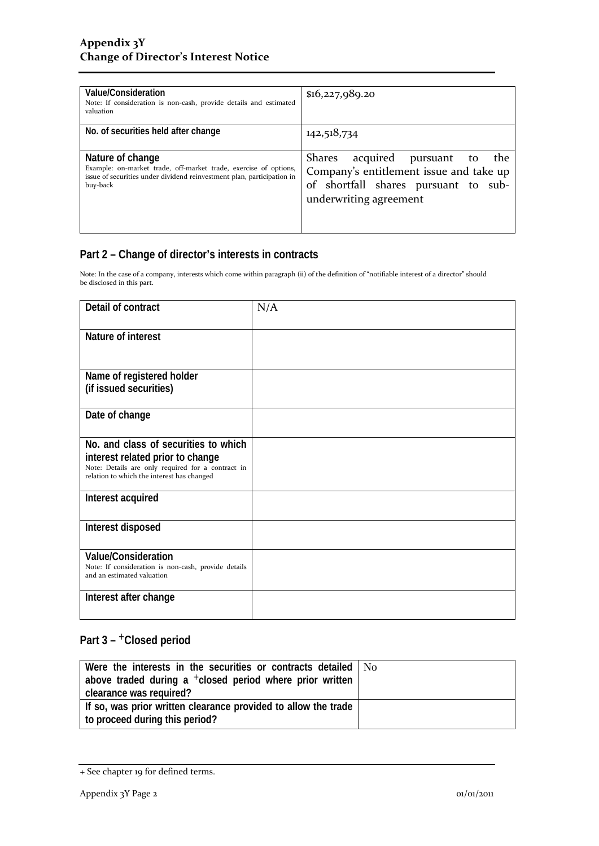| Value/Consideration<br>Note: If consideration is non-cash, provide details and estimated<br>valuation                                                                      | \$16,227,989.20                                                                                                                                              |
|----------------------------------------------------------------------------------------------------------------------------------------------------------------------------|--------------------------------------------------------------------------------------------------------------------------------------------------------------|
| No. of securities held after change                                                                                                                                        | 142,518,734                                                                                                                                                  |
| Nature of change<br>Example: on-market trade, off-market trade, exercise of options,<br>issue of securities under dividend reinvestment plan, participation in<br>buy-back | acquired pursuant<br><b>Shares</b><br>the<br>to<br>Company's entitlement issue and take up<br>of shortfall shares pursuant to sub-<br>underwriting agreement |

### **Part 2 – Change of director's interests in contracts**

Note: In the case of a company, interests which come within paragraph (ii) of the definition of "notifiable interest of a director" should be disclosed in this part.

| Detail of contract                                                                                                                                                          | N/A |
|-----------------------------------------------------------------------------------------------------------------------------------------------------------------------------|-----|
| Nature of interest                                                                                                                                                          |     |
| Name of registered holder<br>(if issued securities)                                                                                                                         |     |
| Date of change                                                                                                                                                              |     |
| No. and class of securities to which<br>interest related prior to change<br>Note: Details are only required for a contract in<br>relation to which the interest has changed |     |
| Interest acquired                                                                                                                                                           |     |
| Interest disposed                                                                                                                                                           |     |
| <b>Value/Consideration</b><br>Note: If consideration is non-cash, provide details<br>and an estimated valuation                                                             |     |
| Interest after change                                                                                                                                                       |     |

## **Part 3 –** +**Closed period**

| Were the interests in the securities or contracts detailed   No      |  |
|----------------------------------------------------------------------|--|
| above traded during a <sup>+</sup> closed period where prior written |  |
| clearance was required?                                              |  |
| If so, was prior written clearance provided to allow the trade       |  |
| to proceed during this period?                                       |  |

<sup>+</sup> See chapter 19 for defined terms.